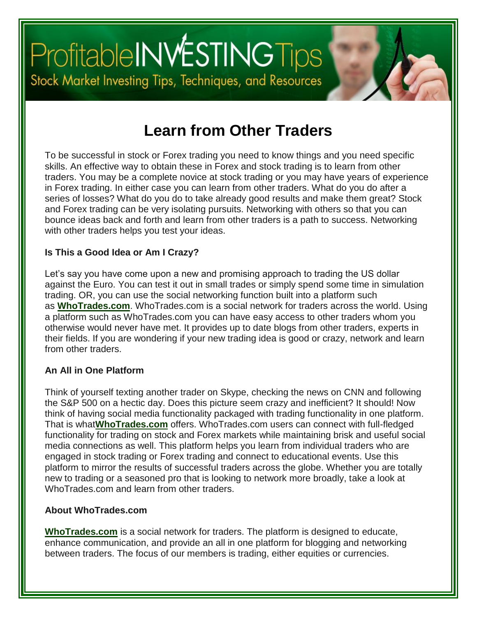# Profitable INVESTING Tips<br>Stock Market Investing Tips, Techniques, and Resources

### **[Learn from Other Traders](http://www.profitableinvestingtips.com/investing-trading/learn-from-other-traders)**

To be successful in stock or Forex trading you need to know things and you need specific skills. An effective way to obtain these in Forex and stock trading is to learn from other traders. You may be a complete novice at stock trading or you may have years of experience in Forex trading. In either case you can learn from other traders. What do you do after a series of losses? What do you do to take already good results and make them great? Stock and Forex trading can be very isolating pursuits. Networking with others so that you can bounce ideas back and forth and learn from other traders is a path to success. Networking with other traders helps you test your ideas.

#### **Is This a Good Idea or Am I Crazy?**

Let's say you have come upon a new and promising approach to trading the US dollar against the Euro. You can test it out in small trades or simply spend some time in simulation trading. OR, you can use the social networking function built into a platform such as **[WhoTrades.com](http://www.mb104.com/lnk.asp?o=7540&c=83568&a=164131&s2=one)**. WhoTrades.com is a social network for traders across the world. Using a platform such as WhoTrades.com you can have easy access to other traders whom you otherwise would never have met. It provides up to date blogs from other traders, experts in their fields. If you are wondering if your new trading idea is good or crazy, network and learn from other traders.

#### **An All in One Platform**

Think of yourself texting another trader on Skype, checking the news on CNN and following the S&P 500 on a hectic day. Does this picture seem crazy and inefficient? It should! Now think of having social media functionality packaged with trading functionality in one platform. That is what**[WhoTrades.com](http://www.mb104.com/lnk.asp?o=7540&c=83568&a=164131&s2=one)** offers. WhoTrades.com users can connect with full-fledged functionality for trading on stock and Forex markets while maintaining brisk and useful social media connections as well. This platform helps you learn from individual traders who are engaged in stock trading or Forex trading and connect to educational events. Use this platform to mirror the results of successful traders across the globe. Whether you are totally new to trading or a seasoned pro that is looking to network more broadly, take a look at WhoTrades.com and learn from other traders.

#### **About WhoTrades.com**

**[WhoTrades.com](http://www.mb104.com/lnk.asp?o=7540&c=83568&a=164131&s2=one)** is a social network for traders. The platform is designed to educate, enhance communication, and provide an all in one platform for blogging and networking between traders. The focus of our members is trading, either equities or currencies.